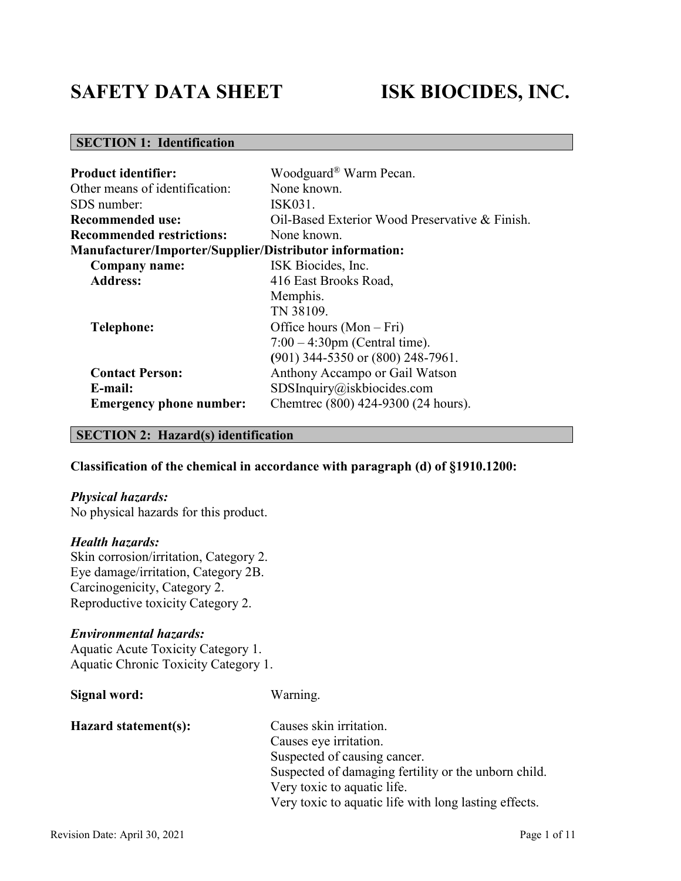# **SAFETY DATA SHEET ISK BIOCIDES, INC.**

## **SECTION 1: Identification**

| <b>Product identifier:</b>                                     | Woodguard <sup>®</sup> Warm Pecan.             |
|----------------------------------------------------------------|------------------------------------------------|
| Other means of identification:                                 | None known.                                    |
| SDS number:                                                    | ISK031.                                        |
| <b>Recommended use:</b>                                        | Oil-Based Exterior Wood Preservative & Finish. |
| <b>Recommended restrictions:</b>                               | None known.                                    |
| <b>Manufacturer/Importer/Supplier/Distributor information:</b> |                                                |
| Company name:                                                  | ISK Biocides, Inc.                             |
| <b>Address:</b>                                                | 416 East Brooks Road,                          |
|                                                                | Memphis.                                       |
|                                                                | TN 38109.                                      |
| <b>Telephone:</b>                                              | Office hours $(Mon-Fri)$                       |
|                                                                | $7:00 - 4:30$ pm (Central time).               |
|                                                                | (901) 344-5350 or (800) 248-7961.              |
| <b>Contact Person:</b>                                         | Anthony Accampo or Gail Watson                 |
| E-mail:                                                        | $SDS$ Inquiry@iskbiocides.com                  |
| <b>Emergency phone number:</b>                                 | Chemtrec (800) 424-9300 (24 hours).            |

## **SECTION 2: Hazard(s) identification**

## **Classification of the chemical in accordance with paragraph (d) of §1910.1200:**

## *Physical hazards:*

No physical hazards for this product.

## *Health hazards:*

Skin corrosion/irritation, Category 2. Eye damage/irritation, Category 2B. Carcinogenicity, Category 2. Reproductive toxicity Category 2.

## *Environmental hazards:*

Aquatic Acute Toxicity Category 1. Aquatic Chronic Toxicity Category 1.

| Signal word:         | Warning.                                              |
|----------------------|-------------------------------------------------------|
| Hazard statement(s): | Causes skin irritation.                               |
|                      | Causes eye irritation.                                |
|                      | Suspected of causing cancer.                          |
|                      | Suspected of damaging fertility or the unborn child.  |
|                      | Very toxic to aquatic life.                           |
|                      | Very toxic to aquatic life with long lasting effects. |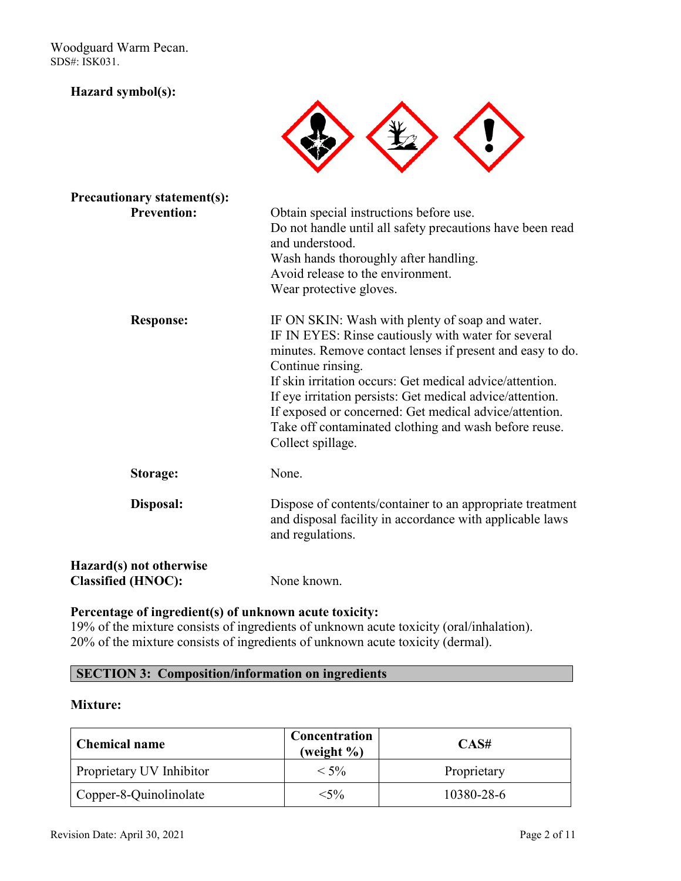## **Hazard symbol(s):**



| <b>Precautionary statement(s):</b>                   |                                                                                                                                                                                                                                                                                                                                                                                                                                                           |
|------------------------------------------------------|-----------------------------------------------------------------------------------------------------------------------------------------------------------------------------------------------------------------------------------------------------------------------------------------------------------------------------------------------------------------------------------------------------------------------------------------------------------|
| <b>Prevention:</b>                                   | Obtain special instructions before use.<br>Do not handle until all safety precautions have been read<br>and understood.<br>Wash hands thoroughly after handling.<br>Avoid release to the environment.<br>Wear protective gloves.                                                                                                                                                                                                                          |
| <b>Response:</b>                                     | IF ON SKIN: Wash with plenty of soap and water.<br>IF IN EYES: Rinse cautiously with water for several<br>minutes. Remove contact lenses if present and easy to do.<br>Continue rinsing.<br>If skin irritation occurs: Get medical advice/attention.<br>If eye irritation persists: Get medical advice/attention.<br>If exposed or concerned: Get medical advice/attention.<br>Take off contaminated clothing and wash before reuse.<br>Collect spillage. |
| Storage:                                             | None.                                                                                                                                                                                                                                                                                                                                                                                                                                                     |
| Disposal:                                            | Dispose of contents/container to an appropriate treatment<br>and disposal facility in accordance with applicable laws<br>and regulations.                                                                                                                                                                                                                                                                                                                 |
| Hazard(s) not otherwise<br><b>Classified (HNOC):</b> | None known.                                                                                                                                                                                                                                                                                                                                                                                                                                               |

## **Percentage of ingredient(s) of unknown acute toxicity:**

19% of the mixture consists of ingredients of unknown acute toxicity (oral/inhalation). 20% of the mixture consists of ingredients of unknown acute toxicity (dermal).

## **SECTION 3: Composition/information on ingredients**

## **Mixture:**

| <b>Chemical name</b>     | Concentration<br>(weight $\%$ ) | CAS#        |
|--------------------------|---------------------------------|-------------|
| Proprietary UV Inhibitor | $< 5\%$                         | Proprietary |
| Copper-8-Quinolinolate   | $<$ 5%                          | 10380-28-6  |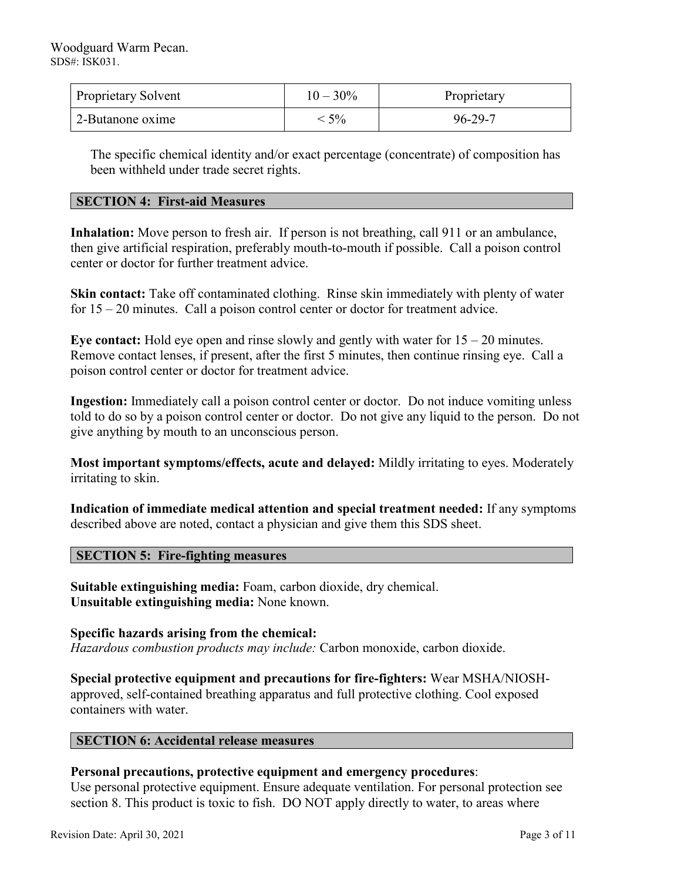| <b>Proprietary Solvent</b> | $10 - 30\%$ | Proprietary |
|----------------------------|-------------|-------------|
| 2-Butanone oxime           | $5\%$       | 96-29-7     |

The specific chemical identity and/or exact percentage (concentrate) of composition has been withheld under trade secret rights.

## **SECTION 4: First-aid Measures**

**Inhalation:** Move person to fresh air. If person is not breathing, call 911 or an ambulance, then give artificial respiration, preferably mouth-to-mouth if possible. Call a poison control center or doctor for further treatment advice.

**Skin contact:** Take off contaminated clothing. Rinse skin immediately with plenty of water for 15 – 20 minutes. Call a poison control center or doctor for treatment advice.

**Eye contact:** Hold eye open and rinse slowly and gently with water for 15 – 20 minutes. Remove contact lenses, if present, after the first 5 minutes, then continue rinsing eye. Call a poison control center or doctor for treatment advice.

**Ingestion:** Immediately call a poison control center or doctor. Do not induce vomiting unless told to do so by a poison control center or doctor. Do not give any liquid to the person. Do not give anything by mouth to an unconscious person.

**Most important symptoms/effects, acute and delayed:** Mildly irritating to eyes. Moderately irritating to skin.

**Indication of immediate medical attention and special treatment needed:** If any symptoms described above are noted, contact a physician and give them this SDS sheet.

## **SECTION 5: Fire-fighting measures**

**Suitable extinguishing media:** Foam, carbon dioxide, dry chemical. **Unsuitable extinguishing media:** None known.

**Specific hazards arising from the chemical:** *Hazardous combustion products may include:* Carbon monoxide, carbon dioxide.

**Special protective equipment and precautions for fire-fighters:** Wear MSHA/NIOSHapproved, self-contained breathing apparatus and full protective clothing. Cool exposed containers with water.

## **SECTION 6: Accidental release measures**

## **Personal precautions, protective equipment and emergency procedures**:

Use personal protective equipment. Ensure adequate ventilation. For personal protection see section 8. This product is toxic to fish. DO NOT apply directly to water, to areas where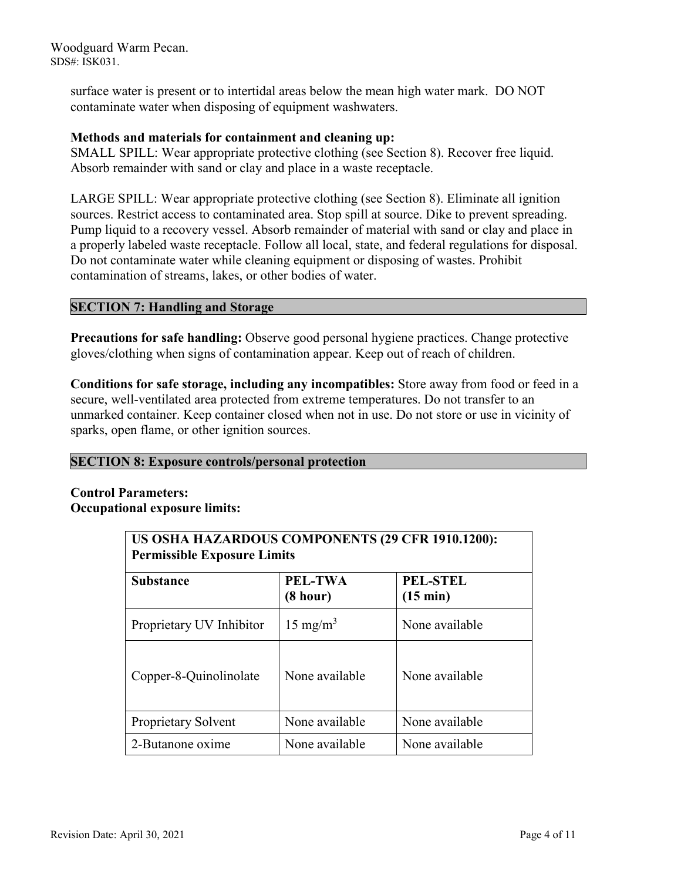> surface water is present or to intertidal areas below the mean high water mark. DO NOT contaminate water when disposing of equipment washwaters.

## **Methods and materials for containment and cleaning up:**

SMALL SPILL: Wear appropriate protective clothing (see Section 8). Recover free liquid. Absorb remainder with sand or clay and place in a waste receptacle.

LARGE SPILL: Wear appropriate protective clothing (see Section 8). Eliminate all ignition sources. Restrict access to contaminated area. Stop spill at source. Dike to prevent spreading. Pump liquid to a recovery vessel. Absorb remainder of material with sand or clay and place in a properly labeled waste receptacle. Follow all local, state, and federal regulations for disposal. Do not contaminate water while cleaning equipment or disposing of wastes. Prohibit contamination of streams, lakes, or other bodies of water.

## **SECTION 7: Handling and Storage**

**Precautions for safe handling:** Observe good personal hygiene practices. Change protective gloves/clothing when signs of contamination appear. Keep out of reach of children.

**Conditions for safe storage, including any incompatibles:** Store away from food or feed in a secure, well-ventilated area protected from extreme temperatures. Do not transfer to an unmarked container. Keep container closed when not in use. Do not store or use in vicinity of sparks, open flame, or other ignition sources.

## **SECTION 8: Exposure controls/personal protection**

## **Control Parameters: Occupational exposure limits:**

| US OSHA HAZARDOUS COMPONENTS (29 CFR 1910.1200):<br><b>Permissible Exposure Limits</b> |                     |                                       |
|----------------------------------------------------------------------------------------|---------------------|---------------------------------------|
| <b>Substance</b>                                                                       | PEL-TWA<br>(8 hour) | <b>PEL-STEL</b><br>$(15 \text{ min})$ |
| Proprietary UV Inhibitor                                                               | $15 \text{ mg/m}^3$ | None available                        |
| Copper-8-Quinolinolate                                                                 | None available      | None available                        |
| Proprietary Solvent                                                                    | None available      | None available                        |
| 2-Butanone oxime                                                                       | None available      | None available                        |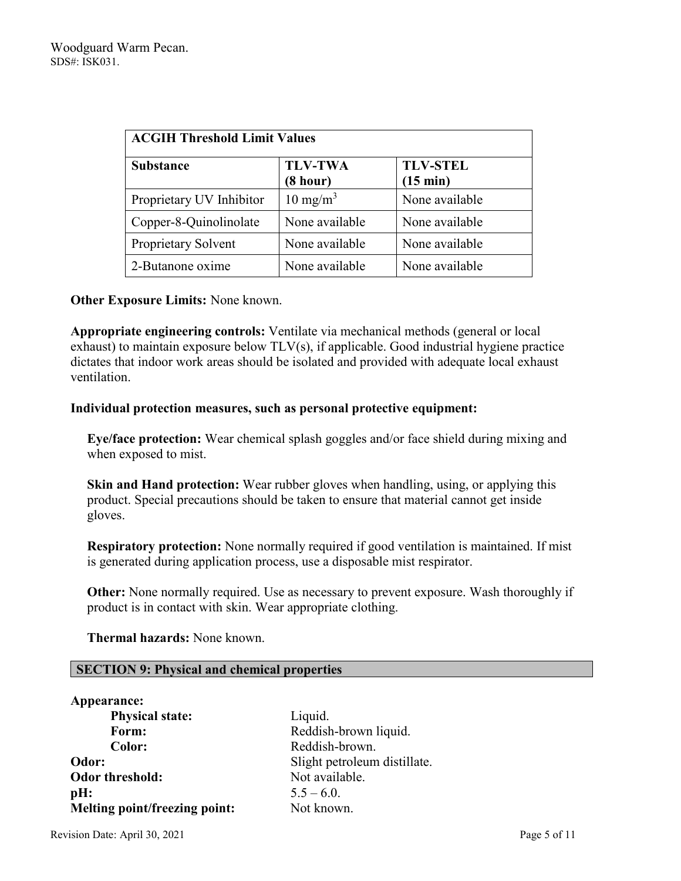| <b>ACGIH Threshold Limit Values</b> |                            |                                       |
|-------------------------------------|----------------------------|---------------------------------------|
| <b>Substance</b>                    | <b>TLV-TWA</b><br>(8 hour) | <b>TLV-STEL</b><br>$(15 \text{ min})$ |
| Proprietary UV Inhibitor            | $10 \text{ mg/m}^3$        | None available                        |
| Copper-8-Quinolinolate              | None available             | None available                        |
| Proprietary Solvent                 | None available             | None available                        |
| 2-Butanone oxime                    | None available             | None available                        |

## **Other Exposure Limits:** None known.

**Appropriate engineering controls:** Ventilate via mechanical methods (general or local exhaust) to maintain exposure below TLV(s), if applicable. Good industrial hygiene practice dictates that indoor work areas should be isolated and provided with adequate local exhaust ventilation.

## **Individual protection measures, such as personal protective equipment:**

**Eye/face protection:** Wear chemical splash goggles and/or face shield during mixing and when exposed to mist.

**Skin and Hand protection:** Wear rubber gloves when handling, using, or applying this product. Special precautions should be taken to ensure that material cannot get inside gloves.

**Respiratory protection:** None normally required if good ventilation is maintained. If mist is generated during application process, use a disposable mist respirator.

**Other:** None normally required. Use as necessary to prevent exposure. Wash thoroughly if product is in contact with skin. Wear appropriate clothing.

 **Thermal hazards:** None known.

## **SECTION 9: Physical and chemical properties**

| Appearance:                   |               |
|-------------------------------|---------------|
| <b>Physical state:</b>        | Liquid.       |
| Form:                         | Reddish-bro   |
| Color:                        | Reddish-bro   |
| Odor:                         | Slight petro  |
| Odor threshold:               | Not availab   |
| pH:                           | $5.5 - 6.0$ . |
| Melting point/freezing point: | Not known.    |

**Form:** Reddish-brown liquid. **Color:** Reddish-brown. nt petroleum distillate. available.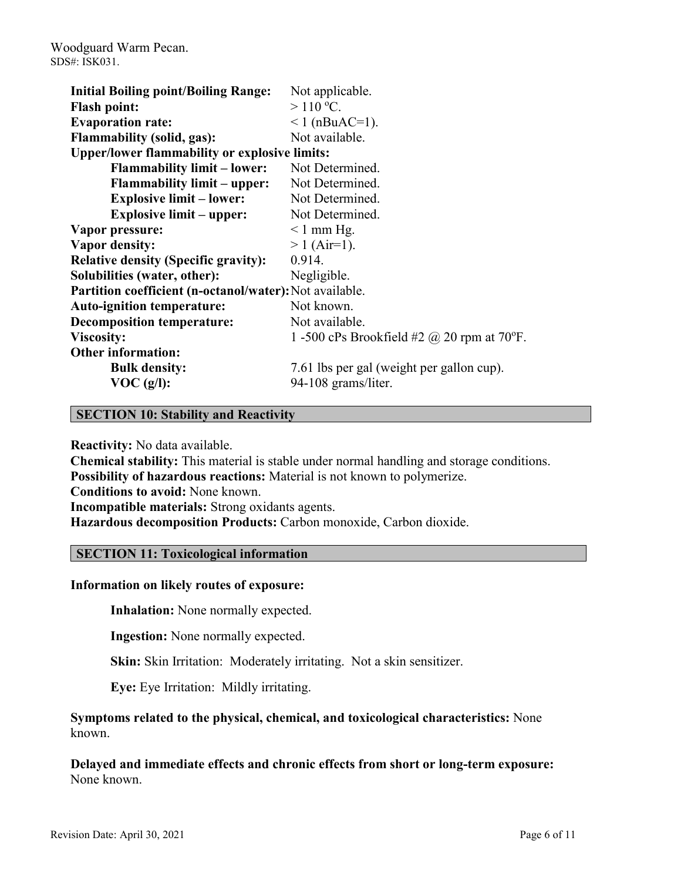| <b>Initial Boiling point/Boiling Range:</b>             | Not applicable.                                   |
|---------------------------------------------------------|---------------------------------------------------|
| <b>Flash point:</b>                                     | $>110$ °C.                                        |
| <b>Evaporation rate:</b>                                | $1$ (nBuAC=1).                                    |
| <b>Flammability (solid, gas):</b>                       | Not available.                                    |
| <b>Upper/lower flammability or explosive limits:</b>    |                                                   |
| <b>Flammability limit – lower:</b>                      | Not Determined.                                   |
| <b>Flammability limit – upper:</b>                      | Not Determined.                                   |
| <b>Explosive limit – lower:</b>                         | Not Determined.                                   |
| <b>Explosive limit – upper:</b>                         | Not Determined.                                   |
| Vapor pressure:                                         | $\leq 1$ mm Hg.                                   |
| Vapor density:                                          | $> 1$ (Air=1).                                    |
| <b>Relative density (Specific gravity):</b>             | 0.914.                                            |
| Solubilities (water, other):                            | Negligible.                                       |
| Partition coefficient (n-octanol/water): Not available. |                                                   |
| <b>Auto-ignition temperature:</b>                       | Not known.                                        |
| <b>Decomposition temperature:</b>                       | Not available.                                    |
| <b>Viscosity:</b>                                       | 1 -500 cPs Brookfield #2 $\omega$ 20 rpm at 70°F. |
| <b>Other information:</b>                               |                                                   |
| <b>Bulk density:</b>                                    | 7.61 lbs per gal (weight per gallon cup).         |
| VOC(g/l):                                               | 94-108 grams/liter.                               |

## **SECTION 10: Stability and Reactivity**

**Reactivity:** No data available.

**Chemical stability:** This material is stable under normal handling and storage conditions. **Possibility of hazardous reactions:** Material is not known to polymerize. **Conditions to avoid:** None known. **Incompatible materials:** Strong oxidants agents. **Hazardous decomposition Products:** Carbon monoxide, Carbon dioxide.

## **SECTION 11: Toxicological information**

#### **Information on likely routes of exposure:**

**Inhalation:** None normally expected.

**Ingestion:** None normally expected.

**Skin:** Skin Irritation: Moderately irritating. Not a skin sensitizer.

**Eye:** Eye Irritation: Mildly irritating.

**Symptoms related to the physical, chemical, and toxicological characteristics:** None known.

**Delayed and immediate effects and chronic effects from short or long-term exposure:** None known.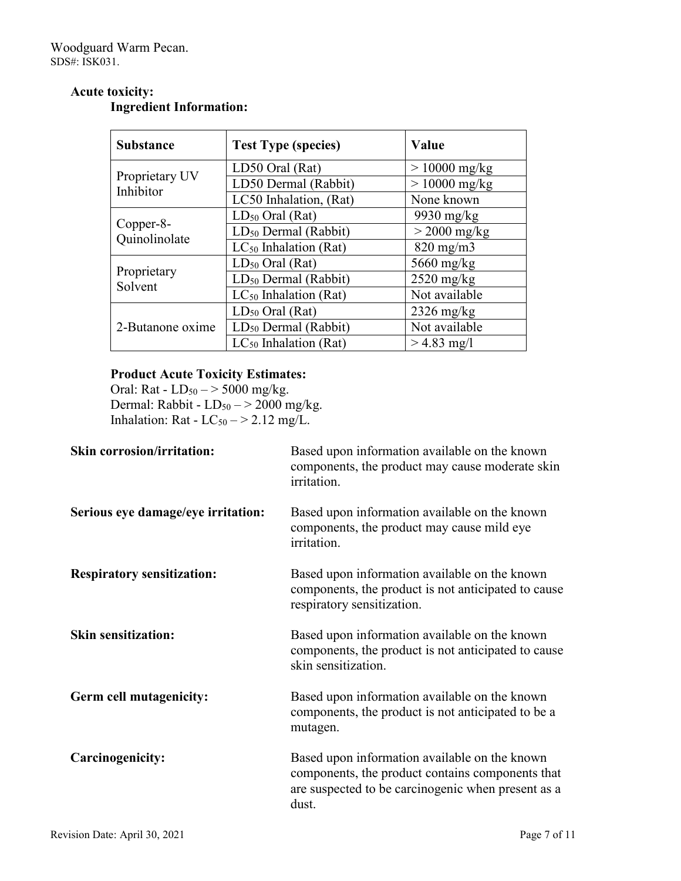| <b>Substance</b>            | <b>Test Type (species)</b> | Value           |
|-----------------------------|----------------------------|-----------------|
|                             | LD50 Oral (Rat)            | $> 10000$ mg/kg |
| Proprietary UV<br>Inhibitor | LD50 Dermal (Rabbit)       | $> 10000$ mg/kg |
|                             | LC50 Inhalation, (Rat)     | None known      |
|                             | $LD_{50}$ Oral (Rat)       | 9930 mg/kg      |
| Copper-8-<br>Quinolinolate  | $LD_{50}$ Dermal (Rabbit)  | $>$ 2000 mg/kg  |
|                             | $LC_{50}$ Inhalation (Rat) | $820$ mg/m $3$  |
|                             | $LD_{50}$ Oral (Rat)       | $5660$ mg/kg    |
| Proprietary<br>Solvent      | $LD_{50}$ Dermal (Rabbit)  | $2520$ mg/kg    |
|                             | $LC_{50}$ Inhalation (Rat) | Not available   |
|                             | $LD_{50}$ Oral (Rat)       | $2326$ mg/kg    |
| 2-Butanone oxime            | $LD_{50}$ Dermal (Rabbit)  | Not available   |
|                             | $LC_{50}$ Inhalation (Rat) | $> 4.83$ mg/l   |

## **Acute toxicity: Ingredient Information:**

## **Product Acute Toxicity Estimates:**

Oral: Rat -  $LD_{50} \rightarrow 5000$  mg/kg. Dermal: Rabbit -  $LD_{50} \rightarrow 2000$  mg/kg. Inhalation: Rat -  $LC_{50}$   $-$  > 2.12 mg/L.

| <b>Skin corrosion/irritation:</b>  | Based upon information available on the known<br>components, the product may cause moderate skin<br>irritation.                                                  |
|------------------------------------|------------------------------------------------------------------------------------------------------------------------------------------------------------------|
| Serious eye damage/eye irritation: | Based upon information available on the known<br>components, the product may cause mild eye<br>irritation.                                                       |
| <b>Respiratory sensitization:</b>  | Based upon information available on the known<br>components, the product is not anticipated to cause<br>respiratory sensitization.                               |
| <b>Skin sensitization:</b>         | Based upon information available on the known<br>components, the product is not anticipated to cause<br>skin sensitization.                                      |
| Germ cell mutagenicity:            | Based upon information available on the known<br>components, the product is not anticipated to be a<br>mutagen.                                                  |
| Carcinogenicity:                   | Based upon information available on the known<br>components, the product contains components that<br>are suspected to be carcinogenic when present as a<br>dust. |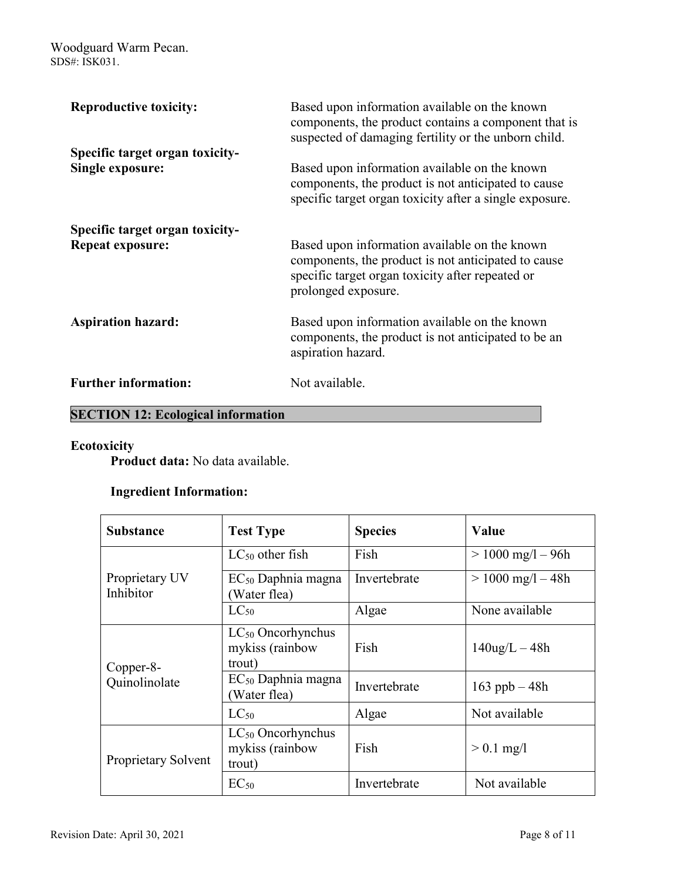| <b>Reproductive toxicity:</b>                              | Based upon information available on the known<br>components, the product contains a component that is<br>suspected of damaging fertility or the unborn child.                   |
|------------------------------------------------------------|---------------------------------------------------------------------------------------------------------------------------------------------------------------------------------|
| Specific target organ toxicity-<br><b>Single exposure:</b> | Based upon information available on the known<br>components, the product is not anticipated to cause<br>specific target organ toxicity after a single exposure.                 |
| Specific target organ toxicity-<br><b>Repeat exposure:</b> | Based upon information available on the known<br>components, the product is not anticipated to cause<br>specific target organ toxicity after repeated or<br>prolonged exposure. |
| <b>Aspiration hazard:</b>                                  | Based upon information available on the known<br>components, the product is not anticipated to be an<br>aspiration hazard.                                                      |
| <b>Further information:</b>                                | Not available.                                                                                                                                                                  |

# **SECTION 12: Ecological information**

## **Ecotoxicity**

**Product data:** No data available.

## **Ingredient Information:**

| <b>Substance</b>            | <b>Test Type</b>                                    | <b>Species</b> | Value                 |
|-----------------------------|-----------------------------------------------------|----------------|-----------------------|
| Proprietary UV<br>Inhibitor | $LC_{50}$ other fish                                | Fish           | $> 1000$ mg/l $- 96h$ |
|                             | $EC_{50}$ Daphnia magna<br>Water flea)              | Invertebrate   | $> 1000$ mg/l $- 48h$ |
|                             | $LC_{50}$                                           | Algae          | None available        |
| Copper-8-<br>Quinolinolate  | $LC_{50}$ Oncorhynchus<br>mykiss (rainbow<br>trout) | Fish           | $140$ ug/L $-48h$     |
|                             | $EC_{50}$ Daphnia magna<br>Water flea)              | Invertebrate   | 163 ppb $-48h$        |
|                             | $LC_{50}$                                           | Algae          | Not available         |
| Proprietary Solvent         | $LC_{50}$ Oncorhynchus<br>mykiss (rainbow<br>trout) | Fish           | $> 0.1$ mg/l          |
|                             | $EC_{50}$                                           | Invertebrate   | Not available         |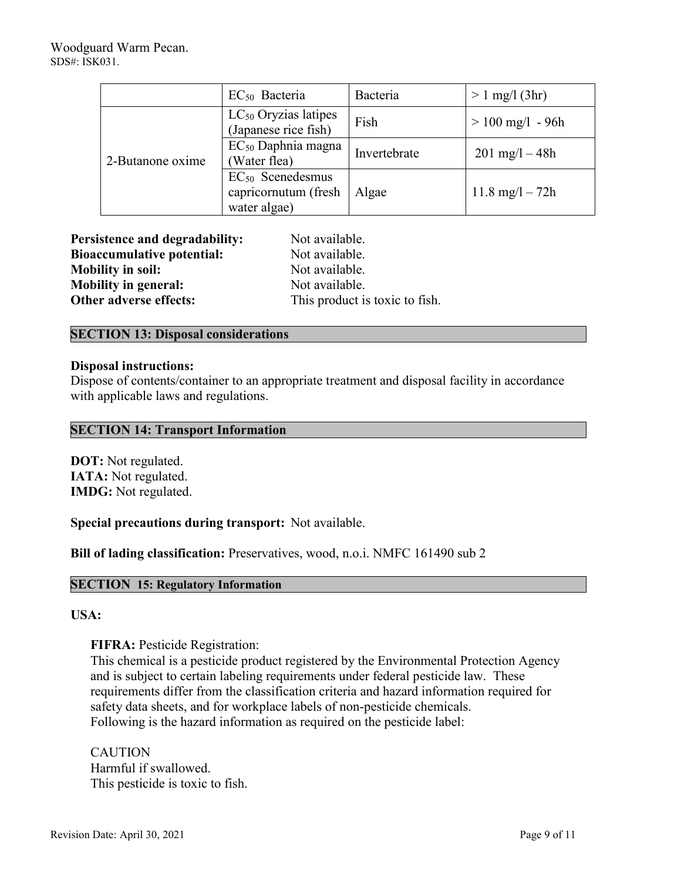|                  | EC <sub>50</sub> Bacteria                                     | Bacteria     | $> 1$ mg/l (3hr)          |
|------------------|---------------------------------------------------------------|--------------|---------------------------|
| 2-Butanone oxime | $LC_{50}$ Oryzias latipes<br>(Japanese rice fish)             | Fish         | $> 100$ mg/l - 96h        |
|                  | EC <sub>50</sub> Daphnia magna<br>(Water flea)                | Invertebrate | $201 \text{ mg}/1 - 48h$  |
|                  | $EC_{50}$ Scenedesmus<br>capricornutum (fresh<br>water algae) | Algae        | $11.8 \text{ mg}/1 - 72h$ |

| <b>Persistence and degradability:</b> | Not available.                 |
|---------------------------------------|--------------------------------|
| <b>Bioaccumulative potential:</b>     | Not available.                 |
| <b>Mobility in soil:</b>              | Not available.                 |
| <b>Mobility in general:</b>           | Not available.                 |
| Other adverse effects:                | This product is toxic to fish. |

## **SECTION 13: Disposal considerations**

## **Disposal instructions:**

Dispose of contents/container to an appropriate treatment and disposal facility in accordance with applicable laws and regulations.

## **SECTION 14: Transport Information**

**DOT:** Not regulated. **IATA:** Not regulated. **IMDG:** Not regulated.

**Special precautions during transport:** Not available.

**Bill of lading classification:** Preservatives, wood, n.o.i. NMFC 161490 sub 2

## **SECTION 15: Regulatory Information**

## **USA:**

**FIFRA:** Pesticide Registration:

This chemical is a pesticide product registered by the Environmental Protection Agency and is subject to certain labeling requirements under federal pesticide law. These requirements differ from the classification criteria and hazard information required for safety data sheets, and for workplace labels of non-pesticide chemicals. Following is the hazard information as required on the pesticide label:

CAUTION Harmful if swallowed. This pesticide is toxic to fish.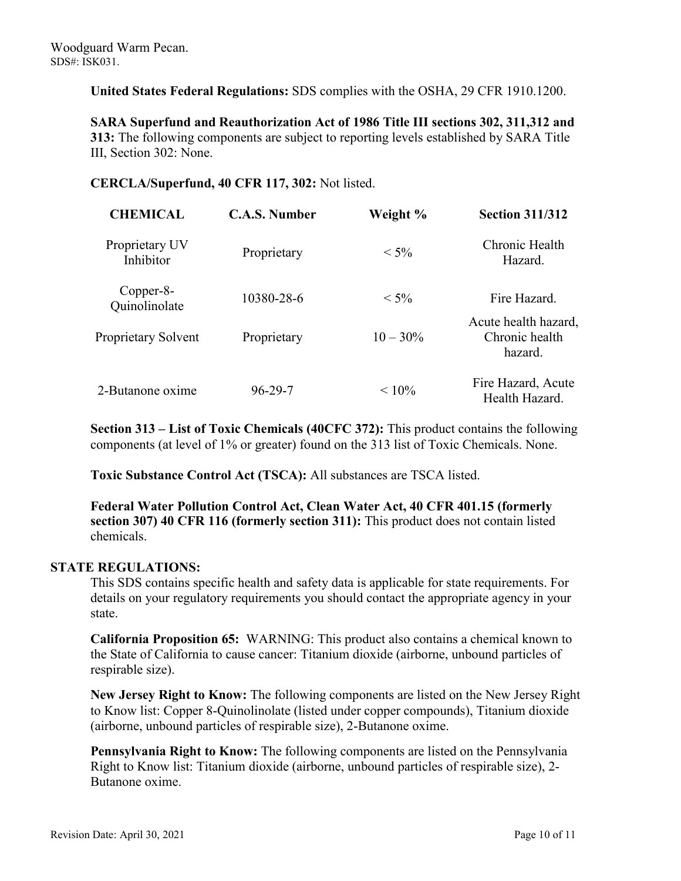**United States Federal Regulations:** SDS complies with the OSHA, 29 CFR 1910.1200.

**SARA Superfund and Reauthorization Act of 1986 Title III sections 302, 311,312 and 313:** The following components are subject to reporting levels established by SARA Title III, Section 302: None.

## **CERCLA/Superfund, 40 CFR 117, 302:** Not listed.

| <b>CHEMICAL</b>             | <b>C.A.S. Number</b> | Weight %    | <b>Section 311/312</b>                            |
|-----------------------------|----------------------|-------------|---------------------------------------------------|
| Proprietary UV<br>Inhibitor | Proprietary          | $< 5\%$     | Chronic Health<br>Hazard.                         |
| Copper-8-<br>Quinolinolate  | 10380-28-6           | $< 5\%$     | Fire Hazard.                                      |
| Proprietary Solvent         | Proprietary          | $10 - 30\%$ | Acute health hazard,<br>Chronic health<br>hazard. |
| 2-Butanone oxime            | $96 - 29 - 7$        | $< 10\%$    | Fire Hazard, Acute<br>Health Hazard.              |

**Section 313 – List of Toxic Chemicals (40CFC 372):** This product contains the following components (at level of 1% or greater) found on the 313 list of Toxic Chemicals. None.

**Toxic Substance Control Act (TSCA):** All substances are TSCA listed.

**Federal Water Pollution Control Act, Clean Water Act, 40 CFR 401.15 (formerly section 307) 40 CFR 116 (formerly section 311):** This product does not contain listed chemicals.

## **STATE REGULATIONS:**

This SDS contains specific health and safety data is applicable for state requirements. For details on your regulatory requirements you should contact the appropriate agency in your state.

**California Proposition 65:** WARNING: This product also contains a chemical known to the State of California to cause cancer: Titanium dioxide (airborne, unbound particles of respirable size).

**New Jersey Right to Know:** The following components are listed on the New Jersey Right to Know list: Copper 8-Quinolinolate (listed under copper compounds), Titanium dioxide (airborne, unbound particles of respirable size), 2-Butanone oxime.

**Pennsylvania Right to Know:** The following components are listed on the Pennsylvania Right to Know list: Titanium dioxide (airborne, unbound particles of respirable size), 2- Butanone oxime.